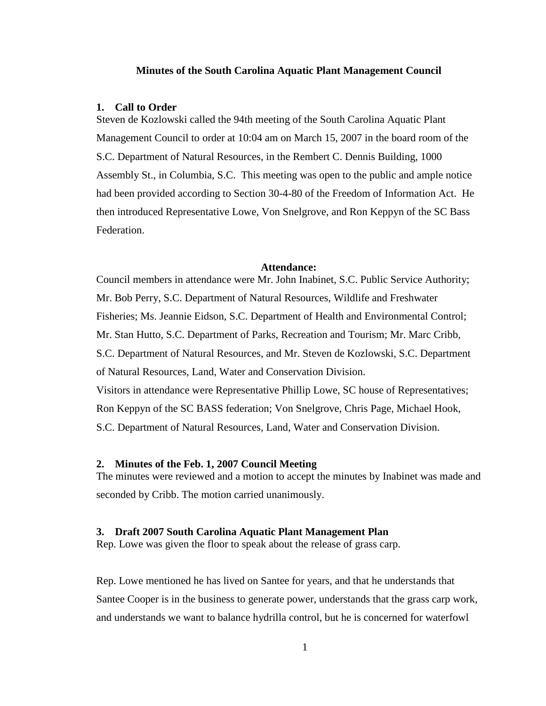#### **Minutes of the South Carolina Aquatic Plant Management Council**

#### **1. Call to Order**

Steven de Kozlowski called the 94th meeting of the South Carolina Aquatic Plant Management Council to order at 10:04 am on March 15, 2007 in the board room of the S.C. Department of Natural Resources, in the Rembert C. Dennis Building, 1000 Assembly St., in Columbia, S.C. This meeting was open to the public and ample notice had been provided according to Section 30-4-80 of the Freedom of Information Act. He then introduced Representative Lowe, Von Snelgrove, and Ron Keppyn of the SC Bass Federation.

#### **Attendance:**

Council members in attendance were Mr. John Inabinet, S.C. Public Service Authority; Mr. Bob Perry, S.C. Department of Natural Resources, Wildlife and Freshwater Fisheries; Ms. Jeannie Eidson, S.C. Department of Health and Environmental Control; Mr. Stan Hutto, S.C. Department of Parks, Recreation and Tourism; Mr. Marc Cribb, S.C. Department of Natural Resources, and Mr. Steven de Kozlowski, S.C. Department of Natural Resources, Land, Water and Conservation Division. Visitors in attendance were Representative Phillip Lowe, SC house of Representatives; Ron Keppyn of the SC BASS federation; Von Snelgrove, Chris Page, Michael Hook, S.C. Department of Natural Resources, Land, Water and Conservation Division.

## **2. Minutes of the Feb. 1, 2007 Council Meeting**

The minutes were reviewed and a motion to accept the minutes by Inabinet was made and seconded by Cribb. The motion carried unanimously.

## **3. Draft 2007 South Carolina Aquatic Plant Management Plan**

Rep. Lowe was given the floor to speak about the release of grass carp.

Rep. Lowe mentioned he has lived on Santee for years, and that he understands that Santee Cooper is in the business to generate power, understands that the grass carp work, and understands we want to balance hydrilla control, but he is concerned for waterfowl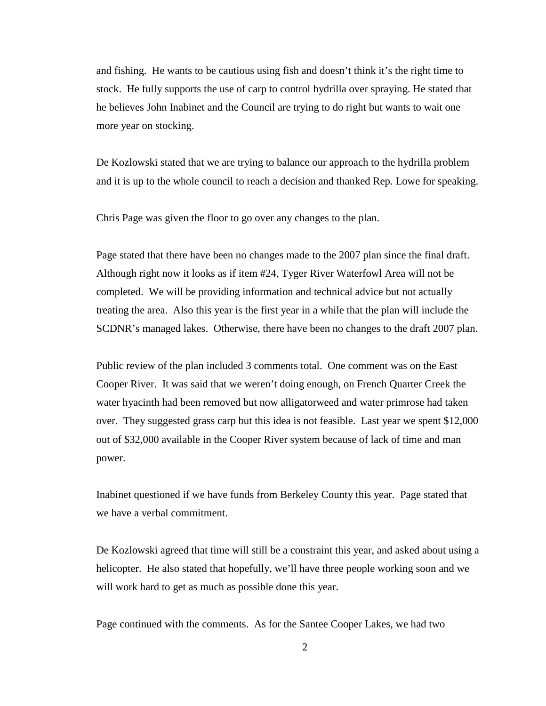and fishing. He wants to be cautious using fish and doesn't think it's the right time to stock. He fully supports the use of carp to control hydrilla over spraying. He stated that he believes John Inabinet and the Council are trying to do right but wants to wait one more year on stocking.

De Kozlowski stated that we are trying to balance our approach to the hydrilla problem and it is up to the whole council to reach a decision and thanked Rep. Lowe for speaking.

Chris Page was given the floor to go over any changes to the plan.

Page stated that there have been no changes made to the 2007 plan since the final draft. Although right now it looks as if item #24, Tyger River Waterfowl Area will not be completed. We will be providing information and technical advice but not actually treating the area. Also this year is the first year in a while that the plan will include the SCDNR's managed lakes. Otherwise, there have been no changes to the draft 2007 plan.

Public review of the plan included 3 comments total. One comment was on the East Cooper River. It was said that we weren't doing enough, on French Quarter Creek the water hyacinth had been removed but now alligatorweed and water primrose had taken over. They suggested grass carp but this idea is not feasible. Last year we spent \$12,000 out of \$32,000 available in the Cooper River system because of lack of time and man power.

Inabinet questioned if we have funds from Berkeley County this year. Page stated that we have a verbal commitment.

De Kozlowski agreed that time will still be a constraint this year, and asked about using a helicopter. He also stated that hopefully, we'll have three people working soon and we will work hard to get as much as possible done this year.

Page continued with the comments. As for the Santee Cooper Lakes, we had two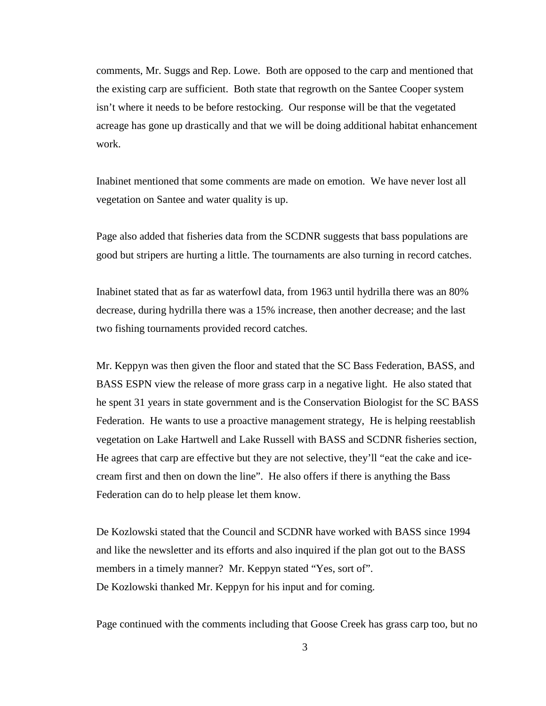comments, Mr. Suggs and Rep. Lowe. Both are opposed to the carp and mentioned that the existing carp are sufficient. Both state that regrowth on the Santee Cooper system isn't where it needs to be before restocking. Our response will be that the vegetated acreage has gone up drastically and that we will be doing additional habitat enhancement work.

Inabinet mentioned that some comments are made on emotion. We have never lost all vegetation on Santee and water quality is up.

Page also added that fisheries data from the SCDNR suggests that bass populations are good but stripers are hurting a little. The tournaments are also turning in record catches.

Inabinet stated that as far as waterfowl data, from 1963 until hydrilla there was an 80% decrease, during hydrilla there was a 15% increase, then another decrease; and the last two fishing tournaments provided record catches.

Mr. Keppyn was then given the floor and stated that the SC Bass Federation, BASS, and BASS ESPN view the release of more grass carp in a negative light. He also stated that he spent 31 years in state government and is the Conservation Biologist for the SC BASS Federation. He wants to use a proactive management strategy, He is helping reestablish vegetation on Lake Hartwell and Lake Russell with BASS and SCDNR fisheries section, He agrees that carp are effective but they are not selective, they'll "eat the cake and icecream first and then on down the line". He also offers if there is anything the Bass Federation can do to help please let them know.

De Kozlowski stated that the Council and SCDNR have worked with BASS since 1994 and like the newsletter and its efforts and also inquired if the plan got out to the BASS members in a timely manner? Mr. Keppyn stated "Yes, sort of". De Kozlowski thanked Mr. Keppyn for his input and for coming.

Page continued with the comments including that Goose Creek has grass carp too, but no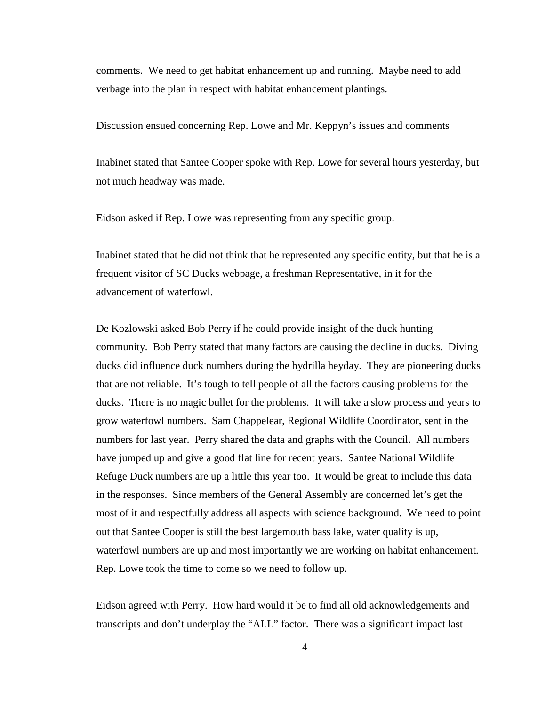comments. We need to get habitat enhancement up and running. Maybe need to add verbage into the plan in respect with habitat enhancement plantings.

Discussion ensued concerning Rep. Lowe and Mr. Keppyn's issues and comments

Inabinet stated that Santee Cooper spoke with Rep. Lowe for several hours yesterday, but not much headway was made.

Eidson asked if Rep. Lowe was representing from any specific group.

Inabinet stated that he did not think that he represented any specific entity, but that he is a frequent visitor of SC Ducks webpage, a freshman Representative, in it for the advancement of waterfowl.

De Kozlowski asked Bob Perry if he could provide insight of the duck hunting community. Bob Perry stated that many factors are causing the decline in ducks. Diving ducks did influence duck numbers during the hydrilla heyday. They are pioneering ducks that are not reliable. It's tough to tell people of all the factors causing problems for the ducks. There is no magic bullet for the problems. It will take a slow process and years to grow waterfowl numbers. Sam Chappelear, Regional Wildlife Coordinator, sent in the numbers for last year. Perry shared the data and graphs with the Council. All numbers have jumped up and give a good flat line for recent years. Santee National Wildlife Refuge Duck numbers are up a little this year too. It would be great to include this data in the responses. Since members of the General Assembly are concerned let's get the most of it and respectfully address all aspects with science background. We need to point out that Santee Cooper is still the best largemouth bass lake, water quality is up, waterfowl numbers are up and most importantly we are working on habitat enhancement. Rep. Lowe took the time to come so we need to follow up.

Eidson agreed with Perry. How hard would it be to find all old acknowledgements and transcripts and don't underplay the "ALL" factor. There was a significant impact last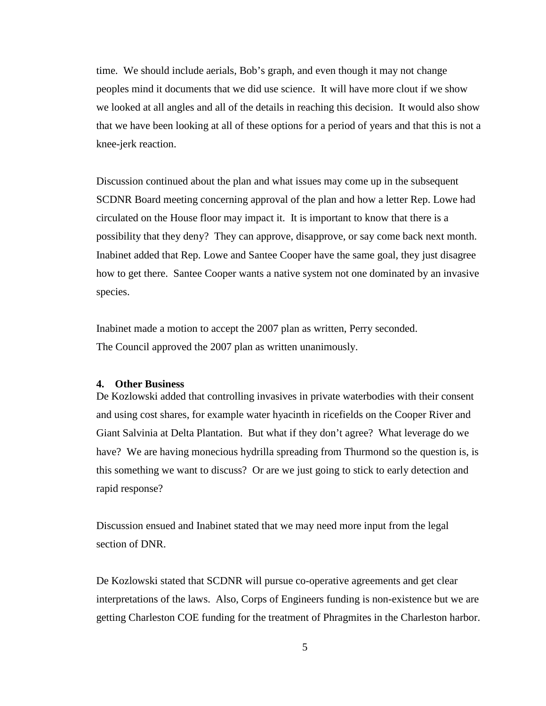time. We should include aerials, Bob's graph, and even though it may not change peoples mind it documents that we did use science. It will have more clout if we show we looked at all angles and all of the details in reaching this decision. It would also show that we have been looking at all of these options for a period of years and that this is not a knee-jerk reaction.

Discussion continued about the plan and what issues may come up in the subsequent SCDNR Board meeting concerning approval of the plan and how a letter Rep. Lowe had circulated on the House floor may impact it. It is important to know that there is a possibility that they deny? They can approve, disapprove, or say come back next month. Inabinet added that Rep. Lowe and Santee Cooper have the same goal, they just disagree how to get there. Santee Cooper wants a native system not one dominated by an invasive species.

Inabinet made a motion to accept the 2007 plan as written, Perry seconded. The Council approved the 2007 plan as written unanimously.

## **4. Other Business**

De Kozlowski added that controlling invasives in private waterbodies with their consent and using cost shares, for example water hyacinth in ricefields on the Cooper River and Giant Salvinia at Delta Plantation. But what if they don't agree? What leverage do we have? We are having monecious hydrilla spreading from Thurmond so the question is, is this something we want to discuss? Or are we just going to stick to early detection and rapid response?

Discussion ensued and Inabinet stated that we may need more input from the legal section of DNR.

De Kozlowski stated that SCDNR will pursue co-operative agreements and get clear interpretations of the laws. Also, Corps of Engineers funding is non-existence but we are getting Charleston COE funding for the treatment of Phragmites in the Charleston harbor.